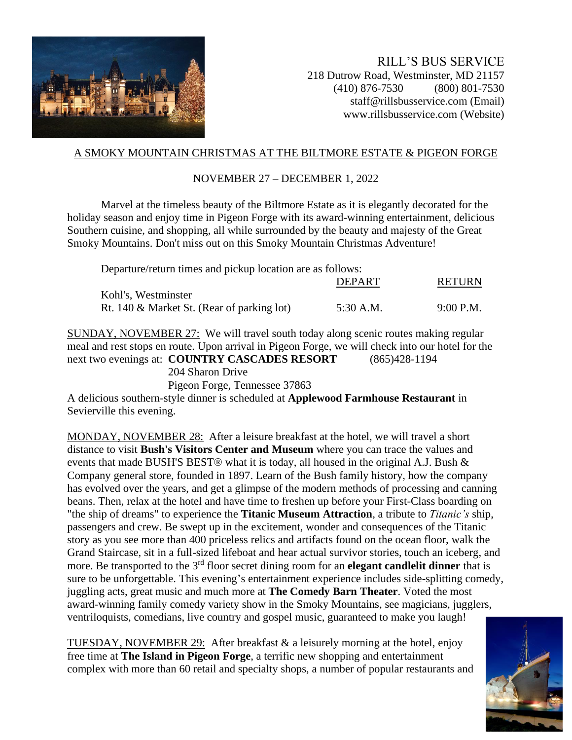

RILL'S BUS SERVICE 218 Dutrow Road, Westminster, MD 21157 (410) 876-7530 (800) 801-7530 staff@rillsbusservice.com (Email) www.rillsbusservice.com (Website)

## A SMOKY MOUNTAIN CHRISTMAS AT THE BILTMORE ESTATE & PIGEON FORGE

## NOVEMBER 27 – DECEMBER 1, 2022

Marvel at the timeless beauty of the Biltmore Estate as it is elegantly decorated for the holiday season and enjoy time in Pigeon Forge with its award-winning entertainment, delicious Southern cuisine, and shopping, all while surrounded by the beauty and majesty of the Great Smoky Mountains. Don't miss out on this Smoky Mountain Christmas Adventure!

| Departure/return times and pickup location are as follows: |               |               |
|------------------------------------------------------------|---------------|---------------|
|                                                            | <b>DEPART</b> | <b>RETURN</b> |
| Kohl's, Westminster                                        |               |               |
| Rt. 140 & Market St. (Rear of parking lot)                 | 5:30 A.M.     | $9:00$ P.M.   |

SUNDAY, NOVEMBER 27: We will travel south today along scenic routes making regular meal and rest stops en route. Upon arrival in Pigeon Forge, we will check into our hotel for the next two evenings at: **COUNTRY CASCADES RESORT** (865)428-1194 204 Sharon Drive Pigeon Forge, Tennessee 37863

A delicious southern-style dinner is scheduled at **Applewood Farmhouse Restaurant** in Sevierville this evening.

MONDAY, NOVEMBER 28: After a leisure breakfast at the hotel, we will travel a short distance to visit **Bush's Visitors Center and Museum** where you can trace the values and events that made BUSH'S BEST® what it is today, all housed in the original A.J. Bush & Company general store, founded in 1897. Learn of the Bush family history, how the company has evolved over the years, and get a glimpse of the modern methods of processing and canning beans. Then, relax at the hotel and have time to freshen up before your First-Class boarding on "the ship of dreams" to experience the **Titanic Museum Attraction**, a tribute to *Titanic's* ship, passengers and crew. Be swept up in the excitement, wonder and consequences of the Titanic story as you see more than 400 priceless relics and artifacts found on the ocean floor, walk the Grand Staircase, sit in a full-sized lifeboat and hear actual survivor stories, touch an iceberg, and more. Be transported to the 3<sup>rd</sup> floor secret dining room for an **elegant candlelit dinner** that is sure to be unforgettable. This evening's entertainment experience includes side-splitting comedy, juggling acts, great music and much more at **The Comedy Barn Theater**. Voted the most award-winning family comedy variety show in the Smoky Mountains, see magicians, jugglers, ventriloquists, comedians, live country and gospel music, guaranteed to make you laugh!

TUESDAY, NOVEMBER 29: After breakfast & a leisurely morning at the hotel, enjoy free time at **The Island in Pigeon Forge**, a terrific new shopping and entertainment complex with more than 60 retail and specialty shops, a number of popular restaurants and

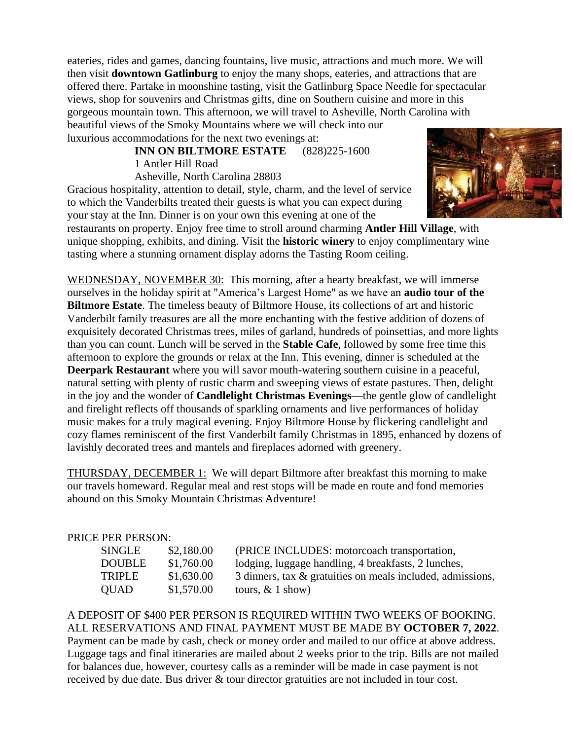eateries, rides and games, dancing fountains, live music, attractions and much more. We will then visit **downtown Gatlinburg** to enjoy the many shops, eateries, and attractions that are offered there. Partake in moonshine tasting, visit the Gatlinburg Space Needle for spectacular views, shop for souvenirs and Christmas gifts, dine on Southern cuisine and more in this gorgeous mountain town. This afternoon, we will travel to Asheville, North Carolina with beautiful views of the Smoky Mountains where we will check into our luxurious accommodations for the next two evenings at:

> **INN ON BILTMORE ESTATE** (828)225-1600 1 Antler Hill Road

Asheville, North Carolina 28803 Gracious hospitality, attention to detail, style, charm, and the level of service to which the Vanderbilts treated their guests is what you can expect during your stay at the Inn. Dinner is on your own this evening at one of the



restaurants on property. Enjoy free time to stroll around charming **Antler Hill Village**, with unique shopping, exhibits, and dining. Visit the **historic winery** to enjoy complimentary wine tasting where a stunning ornament display adorns the Tasting Room ceiling.

WEDNESDAY, NOVEMBER 30: This morning, after a hearty breakfast, we will immerse ourselves in the holiday spirit at "America's Largest Home" as we have an **audio tour of the Biltmore Estate**. The timeless beauty of Biltmore House, its collections of art and historic Vanderbilt family treasures are all the more enchanting with the festive addition of dozens of exquisitely decorated Christmas trees, miles of garland, hundreds of poinsettias, and more lights than you can count. Lunch will be served in the **Stable Cafe**, followed by some free time this afternoon to explore the grounds or relax at the Inn. This evening, dinner is scheduled at the **Deerpark Restaurant** where you will savor mouth-watering southern cuisine in a peaceful, natural setting with plenty of rustic charm and sweeping views of estate pastures. Then, delight in the joy and the wonder of **Candlelight Christmas Evenings**—the gentle glow of candlelight and firelight reflects off thousands of sparkling ornaments and live performances of holiday music makes for a truly magical evening. Enjoy Biltmore House by flickering candlelight and cozy flames reminiscent of the first Vanderbilt family Christmas in 1895, enhanced by dozens of lavishly decorated trees and mantels and fireplaces adorned with greenery.

THURSDAY, DECEMBER 1: We will depart Biltmore after breakfast this morning to make our travels homeward. Regular meal and rest stops will be made en route and fond memories abound on this Smoky Mountain Christmas Adventure!

## PRICE PER PERSON:

| SINGLE        | \$2,180.00 | (PRICE INCLUDES: motorcoach transportation,                |
|---------------|------------|------------------------------------------------------------|
| <b>DOUBLE</b> | \$1,760.00 | lodging, luggage handling, 4 breakfasts, 2 lunches,        |
| <b>TRIPLE</b> | \$1,630.00 | 3 dinners, tax & gratuities on meals included, admissions, |
| <b>OUAD</b>   | \$1,570.00 | tours, $& 1$ show)                                         |

A DEPOSIT OF \$400 PER PERSON IS REQUIRED WITHIN TWO WEEKS OF BOOKING. ALL RESERVATIONS AND FINAL PAYMENT MUST BE MADE BY **OCTOBER 7, 2022**. Payment can be made by cash, check or money order and mailed to our office at above address. Luggage tags and final itineraries are mailed about 2 weeks prior to the trip. Bills are not mailed for balances due, however, courtesy calls as a reminder will be made in case payment is not received by due date. Bus driver & tour director gratuities are not included in tour cost.